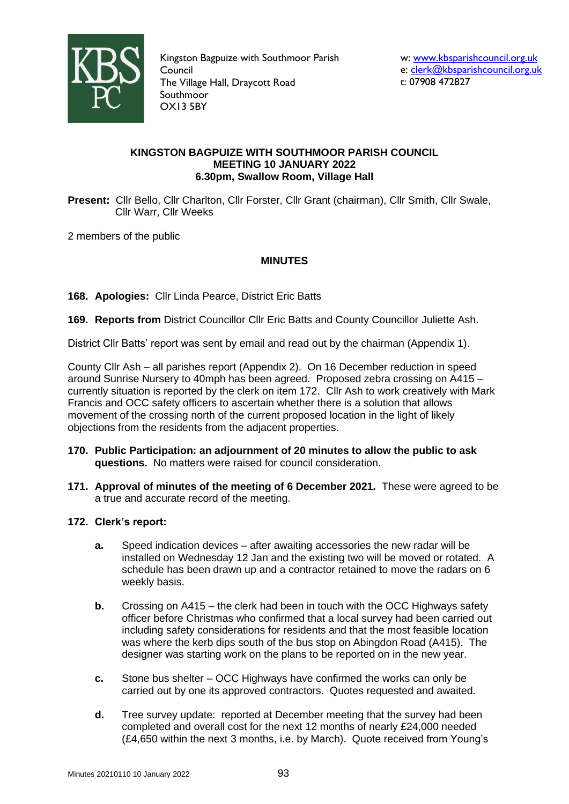

Kingston Bagpuize with Southmoor Parish Council The Village Hall, Draycott Road Southmoor OX13 5BY

# **KINGSTON BAGPUIZE WITH SOUTHMOOR PARISH COUNCIL MEETING 10 JANUARY 2022 6.30pm, Swallow Room, Village Hall**

**Present:** Cllr Bello, Cllr Charlton, Cllr Forster, Cllr Grant (chairman), Cllr Smith, Cllr Swale, Cllr Warr, Cllr Weeks

2 members of the public

# **MINUTES**

**168. Apologies:** Cllr Linda Pearce, District Eric Batts

**169. Reports from** District Councillor Cllr Eric Batts and County Councillor Juliette Ash.

District Cllr Batts' report was sent by email and read out by the chairman (Appendix 1).

County Cllr Ash – all parishes report (Appendix 2). On 16 December reduction in speed around Sunrise Nursery to 40mph has been agreed. Proposed zebra crossing on A415 – currently situation is reported by the clerk on item 172. Cllr Ash to work creatively with Mark Francis and OCC safety officers to ascertain whether there is a solution that allows movement of the crossing north of the current proposed location in the light of likely objections from the residents from the adjacent properties.

- **170. Public Participation: an adjournment of 20 minutes to allow the public to ask questions.** No matters were raised for council consideration.
- **171. Approval of minutes of the meeting of 6 December 2021.** These were agreed to be a true and accurate record of the meeting.

# **172. Clerk's report:**

- **a.** Speed indication devices after awaiting accessories the new radar will be installed on Wednesday 12 Jan and the existing two will be moved or rotated. A schedule has been drawn up and a contractor retained to move the radars on 6 weekly basis.
- **b.** Crossing on A415 the clerk had been in touch with the OCC Highways safety officer before Christmas who confirmed that a local survey had been carried out including safety considerations for residents and that the most feasible location was where the kerb dips south of the bus stop on Abingdon Road (A415). The designer was starting work on the plans to be reported on in the new year.
- **c.** Stone bus shelter OCC Highways have confirmed the works can only be carried out by one its approved contractors. Quotes requested and awaited.
- **d.** Tree survey update: reported at December meeting that the survey had been completed and overall cost for the next 12 months of nearly £24,000 needed (£4,650 within the next 3 months, i.e. by March). Quote received from Young's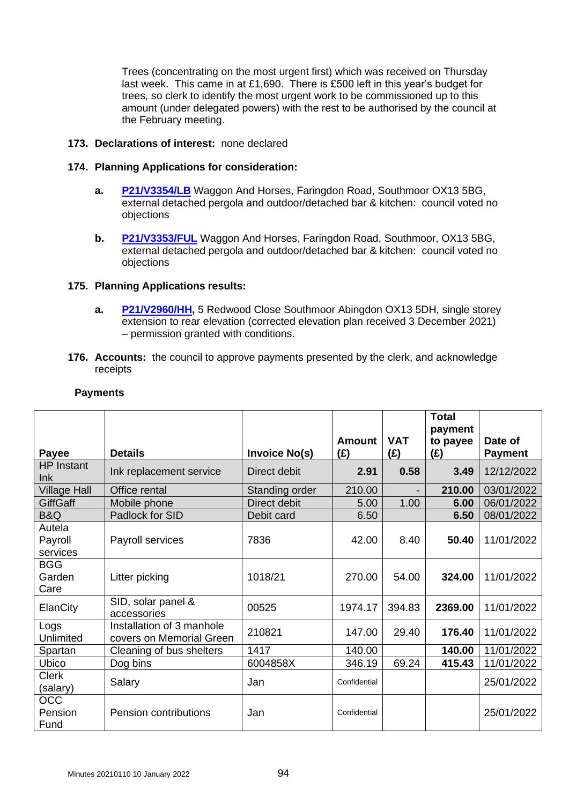Trees (concentrating on the most urgent first) which was received on Thursday last week. This came in at £1,690. There is £500 left in this year's budget for trees, so clerk to identify the most urgent work to be commissioned up to this amount (under delegated powers) with the rest to be authorised by the council at the February meeting.

## **173. Declarations of interest:** none declared

## **174. Planning Applications for consideration:**

- **a. [P21/V3354/LB](https://data.whitehorsedc.gov.uk/java/support/Main.jsp?MODULE=ApplicationDetails&REF=P21/V3354/LB)** Waggon And Horses, Faringdon Road, Southmoor OX13 5BG, external detached pergola and outdoor/detached bar & kitchen: council voted no objections
- **b. [P21/V3353/FUL](https://data.whitehorsedc.gov.uk/java/support/Main.jsp?MODULE=ApplicationDetails&REF=P21/V3353/FUL)** Waggon And Horses, Faringdon Road, Southmoor, OX13 5BG, external detached pergola and outdoor/detached bar & kitchen: council voted no objections

## **175. Planning Applications results:**

- **a. [P21/V2960/HH,](https://data.whitehorsedc.gov.uk/java/support/Main.jsp?MODULE=ApplicationDetails&REF=P21/V2960/HH)** 5 Redwood Close Southmoor Abingdon OX13 5DH, single storey extension to rear elevation (corrected elevation plan received 3 December 2021) – permission granted with conditions.
- **176. Accounts:** the council to approve payments presented by the clerk, and acknowledge receipts

|                               |                                                       |                      | <b>Amount</b> | <b>VAT</b>               | <b>Total</b><br>payment | Date of        |
|-------------------------------|-------------------------------------------------------|----------------------|---------------|--------------------------|-------------------------|----------------|
| Payee                         | <b>Details</b>                                        | <b>Invoice No(s)</b> | (E)           | (E)                      | to payee<br>(E)         | <b>Payment</b> |
| <b>HP</b> Instant<br>lnk      | Ink replacement service                               | Direct debit         | 2.91          | 0.58                     | 3.49                    | 12/12/2022     |
| <b>Village Hall</b>           | Office rental                                         | Standing order       | 210.00        | $\overline{\phantom{a}}$ | 210.00                  | 03/01/2022     |
| <b>GiffGaff</b>               | Mobile phone                                          | Direct debit         | 5.00          | 1.00                     | 6.00                    | 06/01/2022     |
| B&Q                           | Padlock for SID                                       | Debit card           | 6.50          |                          | 6.50                    | 08/01/2022     |
| Autela<br>Payroll<br>services | Payroll services                                      | 7836                 | 42.00         | 8.40                     | 50.40                   | 11/01/2022     |
| <b>BGG</b><br>Garden<br>Care  | Litter picking                                        | 1018/21              | 270.00        | 54.00                    | 324.00                  | 11/01/2022     |
| ElanCity                      | SID, solar panel &<br>accessories                     | 00525                | 1974.17       | 394.83                   | 2369.00                 | 11/01/2022     |
| Logs<br>Unlimited             | Installation of 3 manhole<br>covers on Memorial Green | 210821               | 147.00        | 29.40                    | 176.40                  | 11/01/2022     |
| Spartan                       | Cleaning of bus shelters                              | 1417                 | 140.00        |                          | 140.00                  | 11/01/2022     |
| Ubico                         | Dog bins                                              | 6004858X             | 346.19        | 69.24                    | 415.43                  | 11/01/2022     |
| <b>Clerk</b><br>(salary)      | Salary                                                | Jan                  | Confidential  |                          |                         | 25/01/2022     |
| <b>OCC</b><br>Pension<br>Fund | Pension contributions                                 | Jan                  | Confidential  |                          |                         | 25/01/2022     |

# **Payments**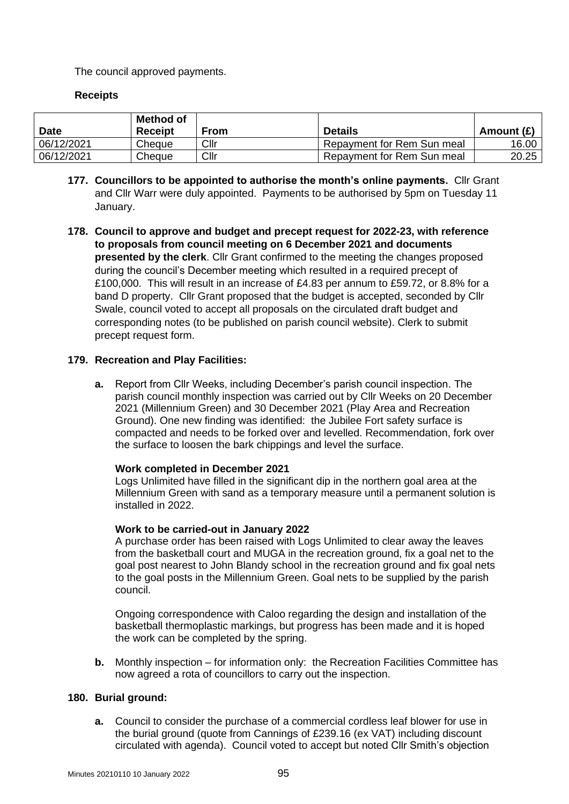The council approved payments.

# **Receipts**

| <b>Date</b> | Method of<br><b>Receipt</b> | From | <b>Details</b>             | Amount (£) |
|-------------|-----------------------------|------|----------------------------|------------|
| 06/12/2021  | Cheque                      | Cllr | Repayment for Rem Sun meal | 16.00      |
| 06/12/2021  | Cheque                      | Cllr | Repayment for Rem Sun meal | 20.25      |

- **177. Councillors to be appointed to authorise the month's online payments.** Cllr Grant and Cllr Warr were duly appointed. Payments to be authorised by 5pm on Tuesday 11 January.
- **178. Council to approve and budget and precept request for 2022-23, with reference to proposals from council meeting on 6 December 2021 and documents presented by the clerk**. Cllr Grant confirmed to the meeting the changes proposed during the council's December meeting which resulted in a required precept of £100,000. This will result in an increase of £4.83 per annum to £59.72, or 8.8% for a band D property. Cllr Grant proposed that the budget is accepted, seconded by Cllr Swale, council voted to accept all proposals on the circulated draft budget and corresponding notes (to be published on parish council website). Clerk to submit precept request form.

## **179. Recreation and Play Facilities:**

**a.** Report from Cllr Weeks, including December's parish council inspection. The parish council monthly inspection was carried out by Cllr Weeks on 20 December 2021 (Millennium Green) and 30 December 2021 (Play Area and Recreation Ground). One new finding was identified: the Jubilee Fort safety surface is compacted and needs to be forked over and levelled. Recommendation, fork over the surface to loosen the bark chippings and level the surface.

#### **Work completed in December 2021**

Logs Unlimited have filled in the significant dip in the northern goal area at the Millennium Green with sand as a temporary measure until a permanent solution is installed in 2022.

#### **Work to be carried-out in January 2022**

A purchase order has been raised with Logs Unlimited to clear away the leaves from the basketball court and MUGA in the recreation ground, fix a goal net to the goal post nearest to John Blandy school in the recreation ground and fix goal nets to the goal posts in the Millennium Green. Goal nets to be supplied by the parish council.

Ongoing correspondence with Caloo regarding the design and installation of the basketball thermoplastic markings, but progress has been made and it is hoped the work can be completed by the spring.

**b.** Monthly inspection – for information only: the Recreation Facilities Committee has now agreed a rota of councillors to carry out the inspection.

#### **180. Burial ground:**

**a.** Council to consider the purchase of a commercial cordless leaf blower for use in the burial ground (quote from Cannings of £239.16 (ex VAT) including discount circulated with agenda). Council voted to accept but noted Cllr Smith's objection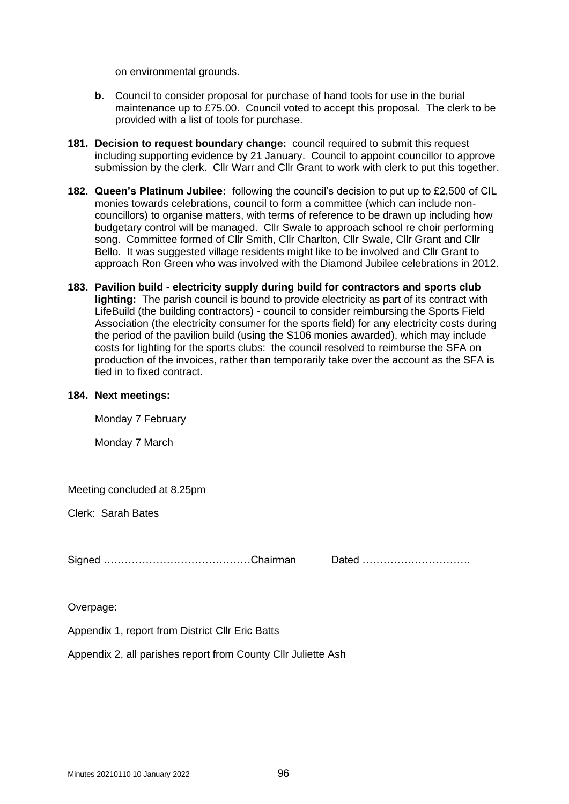on environmental grounds.

- **b.** Council to consider proposal for purchase of hand tools for use in the burial maintenance up to £75.00. Council voted to accept this proposal. The clerk to be provided with a list of tools for purchase.
- **181. Decision to request boundary change:** council required to submit this request including supporting evidence by 21 January. Council to appoint councillor to approve submission by the clerk. Cllr Warr and Cllr Grant to work with clerk to put this together.
- **182. Queen's Platinum Jubilee:** following the council's decision to put up to £2,500 of CIL monies towards celebrations, council to form a committee (which can include noncouncillors) to organise matters, with terms of reference to be drawn up including how budgetary control will be managed. Cllr Swale to approach school re choir performing song. Committee formed of Cllr Smith, Cllr Charlton, Cllr Swale, Cllr Grant and Cllr Bello. It was suggested village residents might like to be involved and Cllr Grant to approach Ron Green who was involved with the Diamond Jubilee celebrations in 2012.
- **183. Pavilion build - electricity supply during build for contractors and sports club lighting:** The parish council is bound to provide electricity as part of its contract with LifeBuild (the building contractors) - council to consider reimbursing the Sports Field Association (the electricity consumer for the sports field) for any electricity costs during the period of the pavilion build (using the S106 monies awarded), which may include costs for lighting for the sports clubs: the council resolved to reimburse the SFA on production of the invoices, rather than temporarily take over the account as the SFA is tied in to fixed contract.

#### **184. Next meetings:**

Monday 7 February

Monday 7 March

Meeting concluded at 8.25pm

Clerk: Sarah Bates

Signed …………………………………………Chairman

| Dated |  |
|-------|--|
|-------|--|

Overpage:

Appendix 1, report from District Cllr Eric Batts

Appendix 2, all parishes report from County Cllr Juliette Ash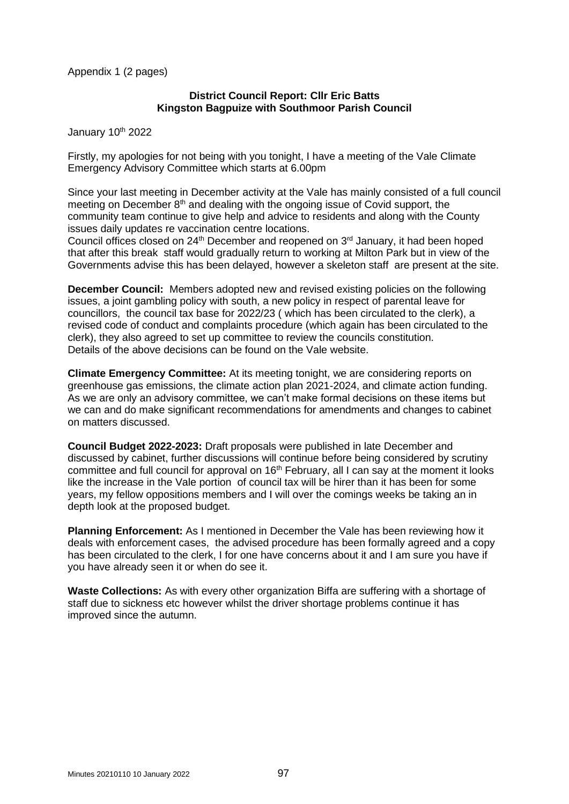Appendix 1 (2 pages)

## **District Council Report: Cllr Eric Batts Kingston Bagpuize with Southmoor Parish Council**

January 10th 2022

Firstly, my apologies for not being with you tonight, I have a meeting of the Vale Climate Emergency Advisory Committee which starts at 6.00pm

Since your last meeting in December activity at the Vale has mainly consisted of a full council meeting on December  $8<sup>th</sup>$  and dealing with the ongoing issue of Covid support, the community team continue to give help and advice to residents and along with the County issues daily updates re vaccination centre locations.

Council offices closed on  $24<sup>th</sup>$  December and reopened on  $3<sup>rd</sup>$  January, it had been hoped that after this break staff would gradually return to working at Milton Park but in view of the Governments advise this has been delayed, however a skeleton staff are present at the site.

**December Council:** Members adopted new and revised existing policies on the following issues, a joint gambling policy with south, a new policy in respect of parental leave for councillors, the council tax base for 2022/23 ( which has been circulated to the clerk), a revised code of conduct and complaints procedure (which again has been circulated to the clerk), they also agreed to set up committee to review the councils constitution. Details of the above decisions can be found on the Vale website.

**Climate Emergency Committee:** At its meeting tonight, we are considering reports on greenhouse gas emissions, the climate action plan 2021-2024, and climate action funding. As we are only an advisory committee, we can't make formal decisions on these items but we can and do make significant recommendations for amendments and changes to cabinet on matters discussed.

**Council Budget 2022-2023:** Draft proposals were published in late December and discussed by cabinet, further discussions will continue before being considered by scrutiny committee and full council for approval on 16<sup>th</sup> February, all I can say at the moment it looks like the increase in the Vale portion of council tax will be hirer than it has been for some years, my fellow oppositions members and I will over the comings weeks be taking an in depth look at the proposed budget.

**Planning Enforcement:** As I mentioned in December the Vale has been reviewing how it deals with enforcement cases, the advised procedure has been formally agreed and a copy has been circulated to the clerk, I for one have concerns about it and I am sure you have if you have already seen it or when do see it.

**Waste Collections:** As with every other organization Biffa are suffering with a shortage of staff due to sickness etc however whilst the driver shortage problems continue it has improved since the autumn.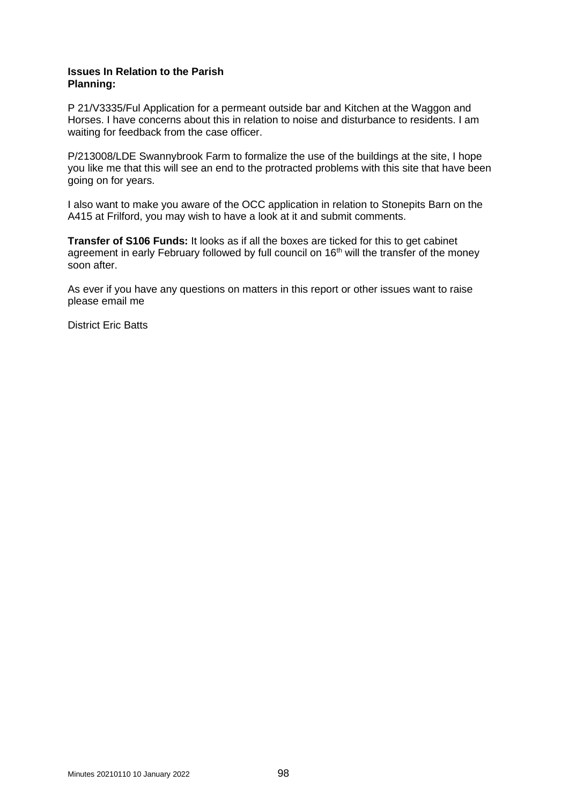#### **Issues In Relation to the Parish Planning:**

P 21/V3335/Ful Application for a permeant outside bar and Kitchen at the Waggon and Horses. I have concerns about this in relation to noise and disturbance to residents. I am waiting for feedback from the case officer.

P/213008/LDE Swannybrook Farm to formalize the use of the buildings at the site, I hope you like me that this will see an end to the protracted problems with this site that have been going on for years.

I also want to make you aware of the OCC application in relation to Stonepits Barn on the A415 at Frilford, you may wish to have a look at it and submit comments.

**Transfer of S106 Funds:** It looks as if all the boxes are ticked for this to get cabinet agreement in early February followed by full council on 16<sup>th</sup> will the transfer of the money soon after.

As ever if you have any questions on matters in this report or other issues want to raise please email me

District Eric Batts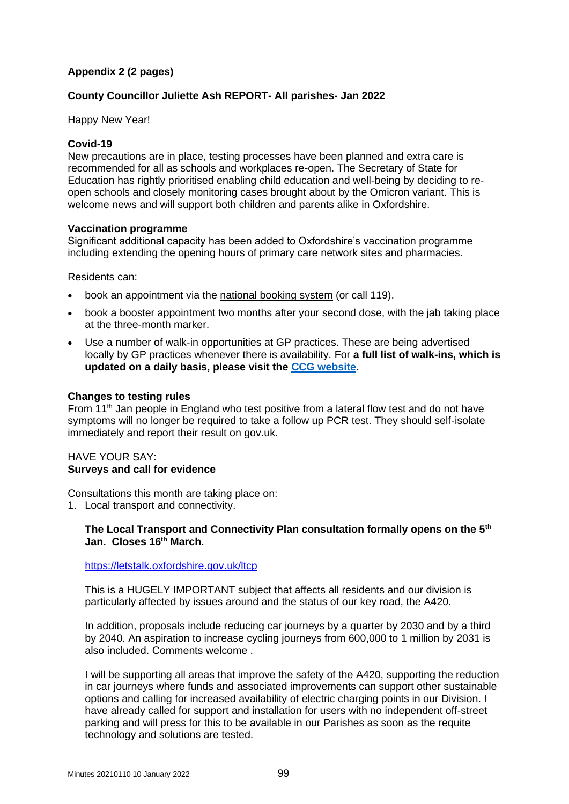# **Appendix 2 (2 pages)**

# **County Councillor Juliette Ash REPORT- All parishes- Jan 2022**

Happy New Year!

# **Covid-19**

New precautions are in place, testing processes have been planned and extra care is recommended for all as schools and workplaces re-open. The Secretary of State for Education has rightly prioritised enabling child education and well-being by deciding to reopen schools and closely monitoring cases brought about by the Omicron variant. This is welcome news and will support both children and parents alike in Oxfordshire.

## **Vaccination programme**

Significant additional capacity has been added to Oxfordshire's vaccination programme including extending the opening hours of primary care network sites and pharmacies.

Residents can:

- book an appointment via the [national booking system](https://www.nhs.uk/conditions/coronavirus-covid-19/coronavirus-vaccination) (or call 119).
- book a booster appointment two months after your second dose, with the jab taking place at the three-month marker.
- Use a number of walk-in opportunities at GP practices. These are being advertised locally by GP practices whenever there is availability. For **a full list of walk-ins, which is updated on a daily basis, please visit the [CCG website.](https://www.oxfordshireccg.nhs.uk/your-health/walk-in-vaccine-clinics.htm)**

## **Changes to testing rules**

From 11<sup>th</sup> Jan people in England who test positive from a lateral flow test and do not have symptoms will no longer be required to take a follow up PCR test. They should self-isolate immediately and report their result on gov.uk.

# HAVE YOUR SAY: **Surveys and call for evidence**

Consultations this month are taking place on:

1. Local transport and connectivity.

## **The Local Transport and Connectivity Plan consultation formally opens on the 5th Jan. Closes 16th March.**

# <https://letstalk.oxfordshire.gov.uk/ltcp>

This is a HUGELY IMPORTANT subject that affects all residents and our division is particularly affected by issues around and the status of our key road, the A420.

In addition, proposals include reducing car journeys by a quarter by 2030 and by a third by 2040. An aspiration to increase cycling journeys from 600,000 to 1 million by 2031 is also included. Comments welcome .

I will be supporting all areas that improve the safety of the A420, supporting the reduction in car journeys where funds and associated improvements can support other sustainable options and calling for increased availability of electric charging points in our Division. I have already called for support and installation for users with no independent off-street parking and will press for this to be available in our Parishes as soon as the requite technology and solutions are tested.